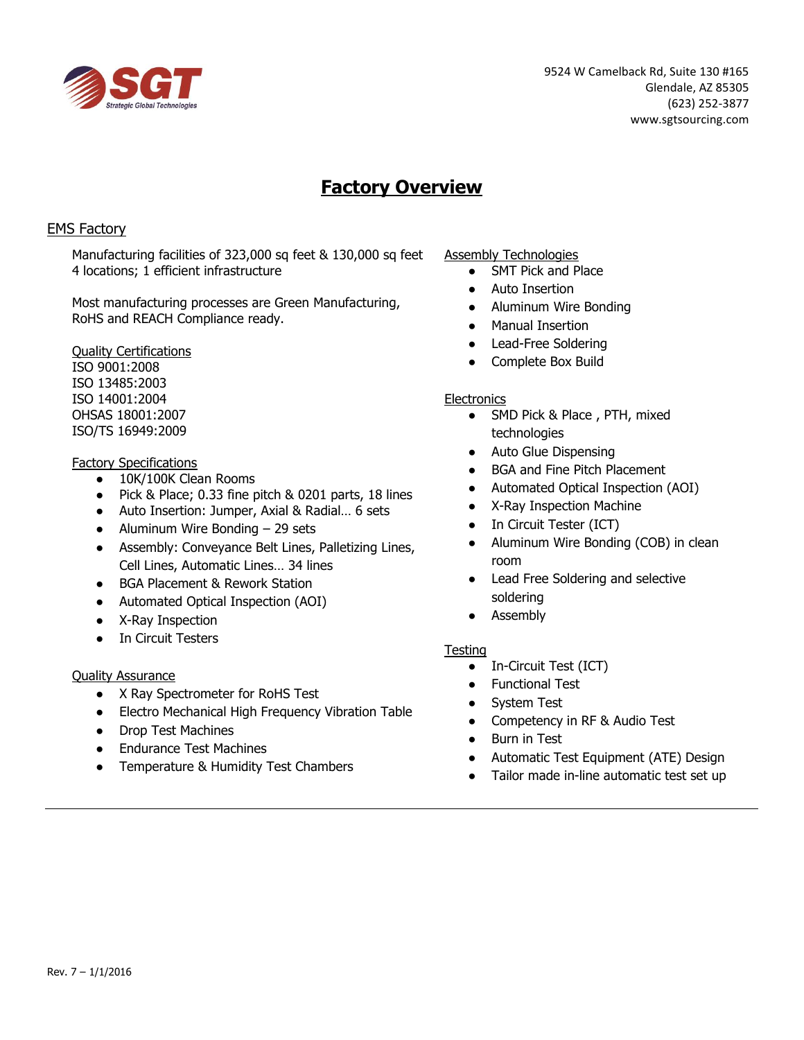

9524 W Camelback Rd, Suite 130 #165 Glendale, AZ 85305 (623) 252-3877 www.sgtsourcing.com

# **Factory Overview**

## EMS Factory

Manufacturing facilities of 323,000 sq feet & 130,000 sq feet 4 locations; 1 efficient infrastructure

Most manufacturing processes are Green Manufacturing, RoHS and REACH Compliance ready.

Quality Certifications ISO 9001:2008 ISO 13485:2003 ISO 14001:2004 OHSAS 18001:2007 ISO/TS 16949:2009

### Factory Specifications

- 10K/100K Clean Rooms
- Pick & Place; 0.33 fine pitch & 0201 parts, 18 lines
- Auto Insertion: Jumper, Axial & Radial… 6 sets
- $\bullet$  Aluminum Wire Bonding 29 sets
- Assembly: Conveyance Belt Lines, Palletizing Lines, Cell Lines, Automatic Lines… 34 lines
- BGA Placement & Rework Station
- Automated Optical Inspection (AOI)
- X-Ray Inspection
- In Circuit Testers

### Quality Assurance

- X Ray Spectrometer for RoHS Test
- Electro Mechanical High Frequency Vibration Table
- Drop Test Machines
- Endurance Test Machines
- Temperature & Humidity Test Chambers

Assembly Technologies

- SMT Pick and Place
- **Auto Insertion**
- Aluminum Wire Bonding
- **Manual Insertion**
- Lead-Free Soldering
- Complete Box Build

#### **Electronics**

- SMD Pick & Place, PTH, mixed technologies
- Auto Glue Dispensing
- BGA and Fine Pitch Placement
- Automated Optical Inspection (AOI)
- X-Ray Inspection Machine
- In Circuit Tester (ICT)
- Aluminum Wire Bonding (COB) in clean room
- Lead Free Soldering and selective soldering
- Assembly

### **Testing**

- In-Circuit Test (ICT)
- Functional Test
- System Test
- Competency in RF & Audio Test
- Burn in Test
- Automatic Test Equipment (ATE) Design
- Tailor made in-line automatic test set up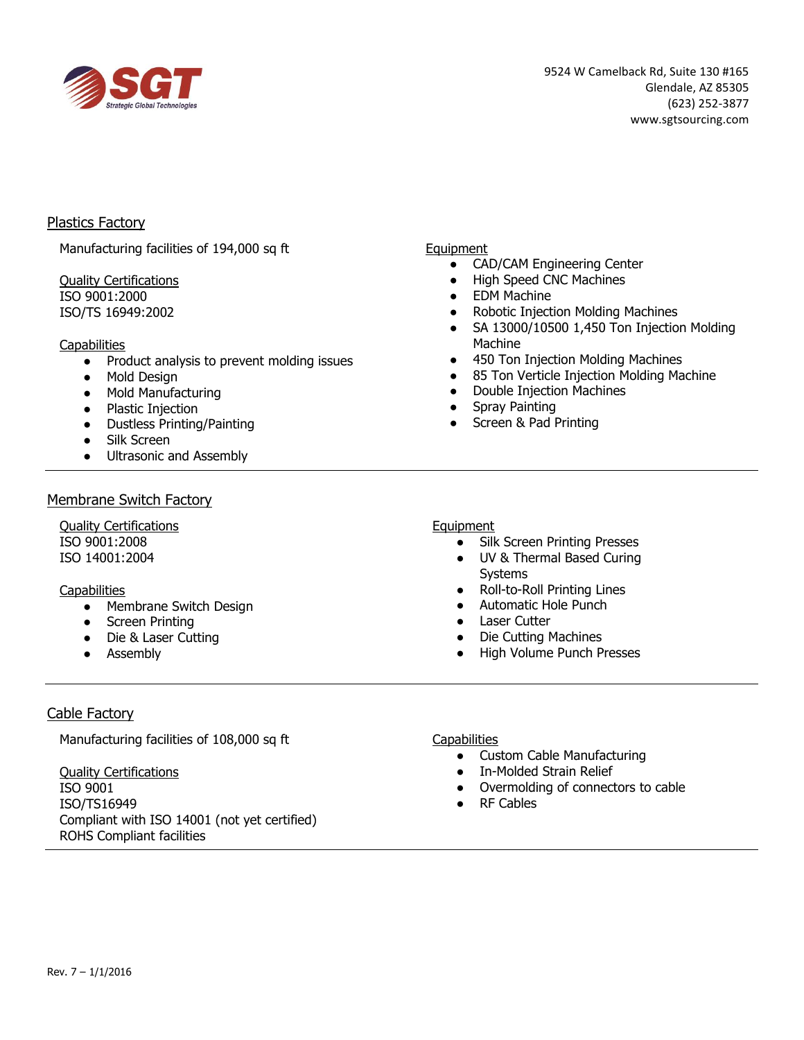

## Plastics Factory

Manufacturing facilities of 194,000 sq ft

#### Quality Certifications ISO 9001:2000 ISO/TS 16949:2002

#### **Capabilities**

- Product analysis to prevent molding issues
- Mold Design
- Mold Manufacturing
- Plastic Injection
- Dustless Printing/Painting
- Silk Screen
- Ultrasonic and Assembly

### Membrane Switch Factory

Quality Certifications ISO 9001:2008 ISO 14001:2004

### **Capabilities**

- Membrane Switch Design
- Screen Printing
- Die & Laser Cutting
- Assembly

#### Equipment

- CAD/CAM Engineering Center
- High Speed CNC Machines
- EDM Machine
- **Robotic Injection Molding Machines**
- SA 13000/10500 1,450 Ton Injection Molding Machine
- 450 Ton Injection Molding Machines
- 85 Ton Verticle Injection Molding Machine
- Double Injection Machines
- Spray Painting
- Screen & Pad Printing

## Equipment

- Silk Screen Printing Presses
- UV & Thermal Based Curing Systems
- Roll-to-Roll Printing Lines
- Automatic Hole Punch
- Laser Cutter
- Die Cutting Machines
- High Volume Punch Presses

# Cable Factory

Manufacturing facilities of 108,000 sq ft

Quality Certifications ISO 9001 ISO/TS16949 Compliant with ISO 14001 (not yet certified) ROHS Compliant facilities

**Capabilities** 

- Custom Cable Manufacturing
- In-Molded Strain Relief
- Overmolding of connectors to cable
- **RF Cables**